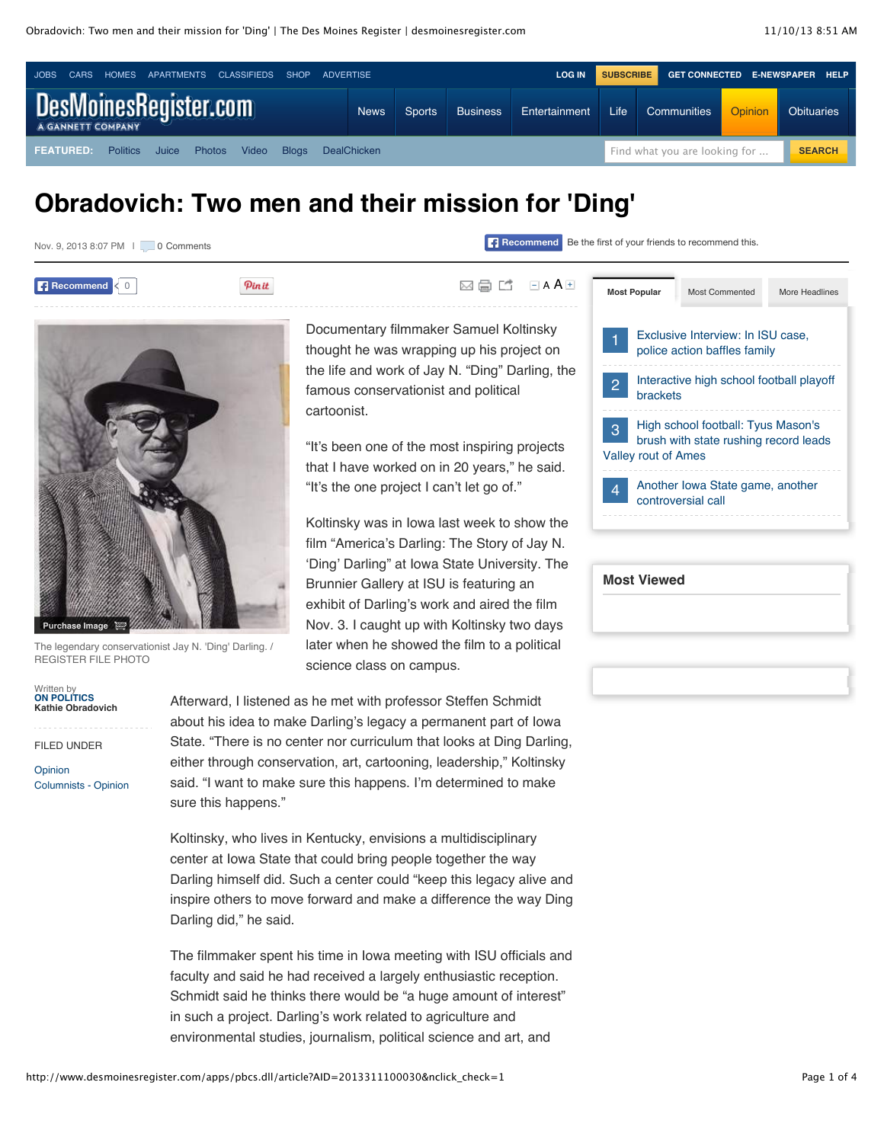

# **Obradovich: Two men and their mission for 'Ding'**

| Nov. 9, 2013 8:07 PM     0 Comments |       | Recommend Be the first of your friends to recommend this.                                 |                                                                                              |  |  |
|-------------------------------------|-------|-------------------------------------------------------------------------------------------|----------------------------------------------------------------------------------------------|--|--|
| <b>Recommend</b>                    | Pinit | $\Box$ A A $\Box$<br>臝<br>$\bowtie$<br>ГТ                                                 | <b>Most Popular</b><br>Most Commented<br>More Headlines                                      |  |  |
|                                     |       | Documentary filmmaker Samuel Koltinsky<br>thought he was wrapping up his project on       | Exclusive Interview: In ISU case,<br>police action baffles family                            |  |  |
|                                     |       | the life and work of Jay N. "Ding" Darling, the<br>famous conservationist and political   | Interactive high school football playoff<br>$\overline{2}$<br>brackets                       |  |  |
|                                     |       | cartoonist.<br>"It's been one of the most inspiring projects                              | High school football: Tyus Mason's<br>$\mathcal{B}$<br>brush with state rushing record leads |  |  |
|                                     |       | that I have worked on in 20 years," he said.<br>"It's the one project I can't let go of." | <b>Valley rout of Ames</b><br>Another Iowa State game, another<br>$\overline{4}$             |  |  |
|                                     |       | Koltinsky was in lowa last week to show the                                               | controversial call                                                                           |  |  |
|                                     |       | film "America's Darling: The Story of Jay N.                                              |                                                                                              |  |  |
|                                     |       | 'Ding' Darling" at Iowa State University. The<br>Brunnier Gallery at ISU is featuring an  | <b>Most Viewed</b>                                                                           |  |  |

exhibit of Darling's work and aired the film Nov. 3. I caught up with Koltinsky two days later when he showed the film to a political

The legendary conservationist Jay N. 'Ding' Darling. / REGISTER FILE PHOTO

Written by **[ON POLITICS](mailto:kobradovich@dmreg.com) Kathie Obradovich**

**Purchase Image**

FILED UNDER

[Opinion](http://www.desmoinesregister.com/section/OPINION) [Columnists - Opinion](http://www.desmoinesregister.com/section/OPINION01) Afterward, I listened as he met with professor Steffen Schmidt about his idea to make Darling's legacy a permanent part of Iowa State. "There is no center nor curriculum that looks at Ding Darling, either through conservation, art, cartooning, leadership," Koltinsky said. "I want to make sure this happens. I'm determined to make sure this happens."

science class on campus.

Koltinsky, who lives in Kentucky, envisions a multidisciplinary center at Iowa State that could bring people together the way Darling himself did. Such a center could "keep this legacy alive and inspire others to move forward and make a difference the way Ding Darling did," he said.

The filmmaker spent his time in Iowa meeting with ISU officials and faculty and said he had received a largely enthusiastic reception. Schmidt said he thinks there would be "a huge amount of interest" in such a project. Darling's work related to agriculture and environmental studies, journalism, political science and art, and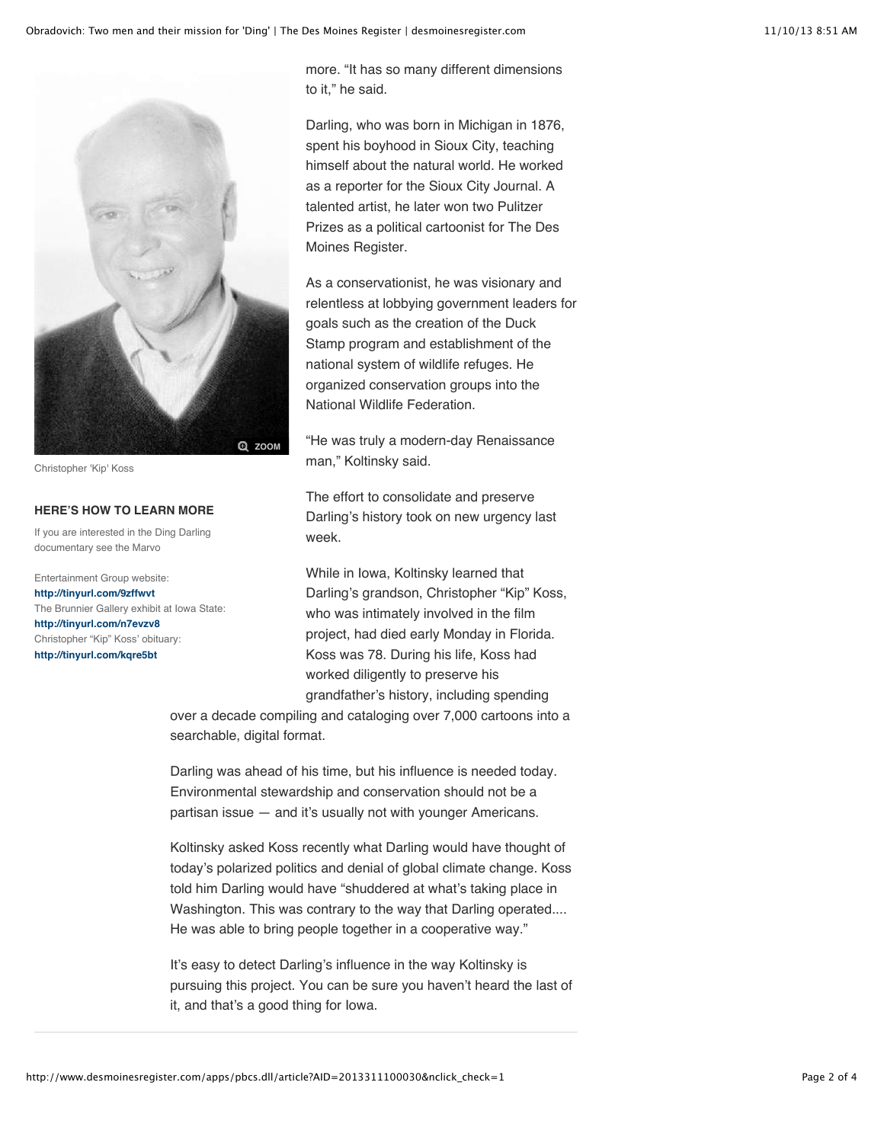

Christopher 'Kip' Koss

#### **HERE'S HOW TO LEARN MORE**

If you are interested in the Ding Darling documentary see the Marvo

Entertainment Group website: **<http://tinyurl.com/9zffwvt>** The Brunnier Gallery exhibit at Iowa State: **<http://tinyurl.com/n7evzv8>** Christopher "Kip" Koss' obituary: **<http://tinyurl.com/kqre5bt>**

more. "It has so many different dimensions to it," he said.

Darling, who was born in Michigan in 1876, spent his boyhood in Sioux City, teaching himself about the natural world. He worked as a reporter for the Sioux City Journal. A talented artist, he later won two Pulitzer Prizes as a political cartoonist for The Des Moines Register.

As a conservationist, he was visionary and relentless at lobbying government leaders for goals such as the creation of the Duck Stamp program and establishment of the national system of wildlife refuges. He organized conservation groups into the National Wildlife Federation.

"He was truly a modern-day Renaissance man," Koltinsky said.

The effort to consolidate and preserve Darling's history took on new urgency last week.

While in Iowa, Koltinsky learned that Darling's grandson, Christopher "Kip" Koss, who was intimately involved in the film project, had died early Monday in Florida. Koss was 78. During his life, Koss had worked diligently to preserve his grandfather's history, including spending

over a decade compiling and cataloging over 7,000 cartoons into a searchable, digital format.

Darling was ahead of his time, but his influence is needed today. Environmental stewardship and conservation should not be a partisan issue — and it's usually not with younger Americans.

Koltinsky asked Koss recently what Darling would have thought of today's polarized politics and denial of global climate change. Koss told him Darling would have "shuddered at what's taking place in Washington. This was contrary to the way that Darling operated.... He was able to bring people together in a cooperative way."

It's easy to detect Darling's influence in the way Koltinsky is pursuing this project. You can be sure you haven't heard the last of it, and that's a good thing for Iowa.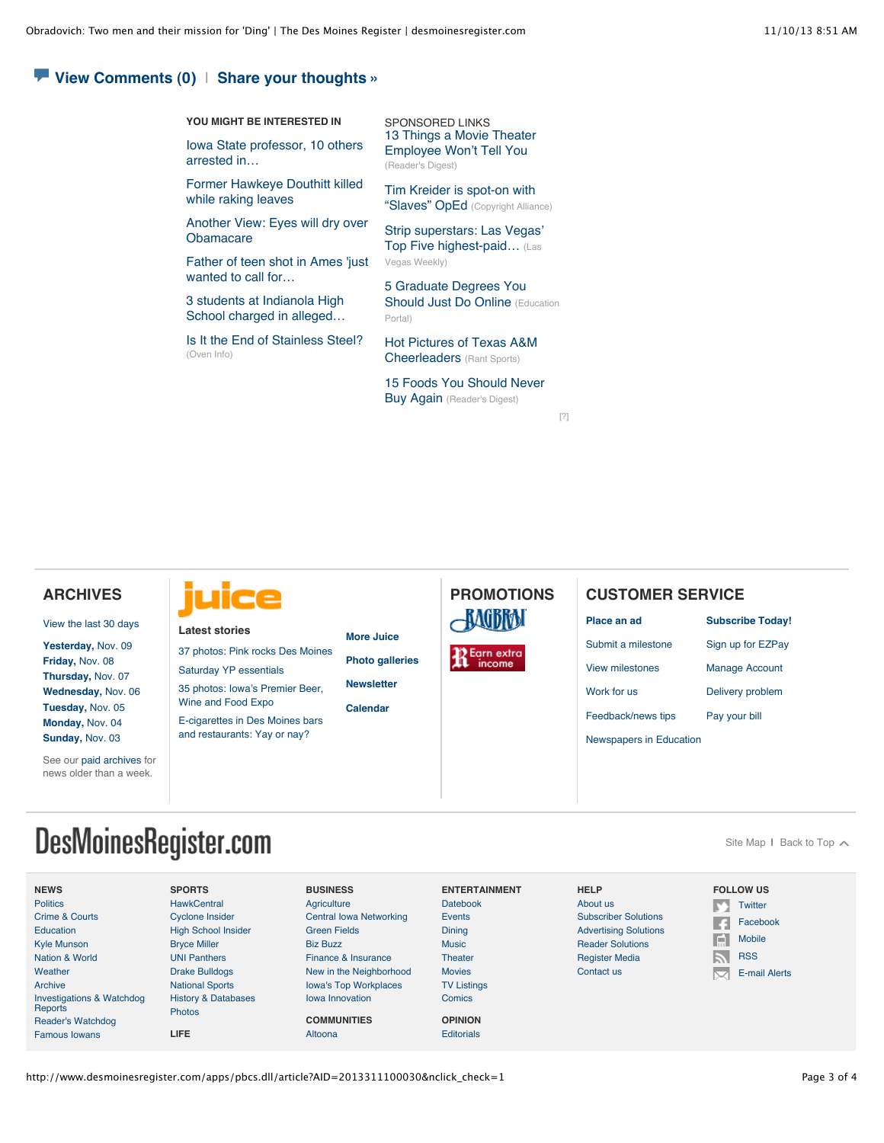#### **[View Comments](http://www.desmoinesregister.com/comments/article/20131110/OPINION01/311100030/Obradovich-Two-men-their-mission-Ding-) (0)** | **[Share your thoughts »](http://www.desmoinesregister.com/comments/article/20131110/OPINION01/311100030/Obradovich-Two-men-their-mission-Ding-)**

**YOU MIGHT BE INTERESTED IN**

[Iowa State professor, 10 others](http://www.desmoinesregister.com/article/20131108/NEWS/311080062/Iowa-State-professor-10-others-arrested-prostitution-sting) arrested in…

[Former Hawkeye Douthitt killed](http://www.desmoinesregister.com/article/20131031/SPORTS020502/131031044/Former-Hawkeye-Douthitt-killed-while-raking-leaves) while raking leaves

[Another View: Eyes will dry over](http://www.desmoinesregister.com/article/20131109/OPINION01/311090041/Another-View-Eyes-will-dry-over-Obamacare) **Obamacare** 

[Father of teen shot in Ames 'just](http://www.desmoinesregister.com/article/20131108/NEWS/311080039/Father-teen-shot-Ames-just-wanted-call-help-) wanted to call for…

[3 students at Indianola High](http://www.desmoinesregister.com/article/20131101/NEWS01/131101002/3-students-Indianola-High-School-charged-alleged-bomb-threat) School charged in alleged…

[Is It the End of Stainless Steel?](http://www.oveninfo.com/features/is-stainless-still-king-of-the-kitchen.ht?u) (Oven Info)

SPONSORED LINKS [13 Things a Movie Theater](http://www.rd.com/slideshows/13-things-a-movie-theater-employee-won%E2%80%99t-tell-you/) Employee Won't Tell You (Reader's Digest)

[Tim Kreider is spot-on with](http://copyrightalliance.org/2013/10/tim_kreider_spot-_slaves_oped) "Slaves" OpEd (Copyright Alliance)

[Strip superstars: Las Vegas](http://www.lasvegasweekly.com/news/2013/apr/26/megabucks-djs-las-vegas-top-earning-djs/)' Top Five highest-paid... (Las Vegas Weekly)

[5 Graduate Degrees You](http://education-portal.com/articles/Best_Graduate_Degrees_to_Earn_Online.html?src=ob&tid=7) **Should Just Do Online (Education** Portal)

[Hot Pictures of Texas A&M](http://www.rantsports.com/clubhouse/2013/08/22/hot-pictures-of-texas-am-cheerleaders/) Cheerleaders (Rant Sports)

[15 Foods You Should Never](http://www.rd.com/slideshows/15-foods-you-should-never-buy-again/) **Buy Again** (Reader's Digest)

[\[?\]](http://www.desmoinesregister.com/apps/pbcs.dll/article?AID=2013311100030&nclick_check=1#)

#### **ARCHIVES**

[View the last 30 days](http://www.desmoinesregister.com/section/archive)

**[Yesterday,](http://www.desmoinesregister.com/section/archive&archivedate=20131109)** Nov. 09 **[Friday,](http://www.desmoinesregister.com/section/archive&archivedate=20131108)** Nov. 08 **[Thursday,](http://www.desmoinesregister.com/section/archive&archivedate=20131107)** Nov. 07 **[Wednesday,](http://www.desmoinesregister.com/section/archive&archivedate=20131106)** Nov. 06 **[Tuesday,](http://www.desmoinesregister.com/section/archive&archivedate=20131105)** Nov. 05 **[Monday,](http://www.desmoinesregister.com/section/archive&archivedate=20131104)** Nov. 04 **[Sunday,](http://www.desmoinesregister.com/section/archive&archivedate=20131103)** Nov. 03

See our [paid archives](http://pqasb.pqarchiver.com/desmoinesregister/advancedsearch.html) for news older than a week.



**Latest stories**

[Saturday YP essentials](http://dmjuice.com/saturday-yp-essentials-20/) 35 photos: Iowa's Premier Beer, [Wine and Food Expo](http://dmjuice.com/iowas-premier-beer-wine-and-food-expo/)

[37 photos: Pink rocks Des Moines](http://dmjuice.com/37-photos-pink-rocks-des-moines/)

[E-cigarettes in Des Moines bars](http://dmjuice.com/e-cigarettes-in-des-moines-bars-and-restaurants-yay-or-nay/) and restaurants: Yay or nay?

**[More Juice](http://dmjuice.com/)**

**[Photo galleries](http://dmjuice.com/category/scenes/)**

**[Newsletter](http://dmjuice.com/juice/newsletter-sign-up/) [Calendar](http://events.dmjuice.com/)**



**PROMOTIONS**

**[Place an ad](http://www.desmoinesregister.com/ezclassifieds)**

### [Submit a milestone](http://www.desmoinesregister.com/milestones)

- [View milestones](http://www.legacy.com/desmoinesregister/celebrations.asp)
- [Work for us](https://performancemanager4.successfactors.com/career?company=Gannett&site=cHl6NlBjQUxuVU09)

[Feedback/news tips](http://www.desmoinesregister.com/apps/pbcs.dll/article?AID=/99999999/HELP/40517017)

- 
- **[Subscribe Today!](http://www.desmoinesregister.com/subscribe)**
- [Sign up for EZPay](http://www.desmoinesregister.com/ezpay)
- [Manage Account](http://www.desmoinesregister.com/myaccount)
- [Delivery problem](http://www.desmoinesregister.com/myaccount)
- [Pay your bill](http://www.desmoinesregister.com/myaccount)

[Newspapers in Education](http://www.desmoinesregister.com/nie)

**CUSTOMER SERVICE**

[Site Map](http://www.desmoinesregister.com/section/sitemaphtml) I [Back to Top](http://www.desmoinesregister.com/apps/pbcs.dll/article?AID=2013311100030&nclick_check=1#top)  $\sim$ 

# DesMoinesRegister.com

| <b>NEWS</b>               | <b>SPORTS</b>                  | <b>BUSINESS</b>                | <b>ENTERTAINMENT</b> | <b>HELP</b>                  | <b>FOLLOW US</b>           |
|---------------------------|--------------------------------|--------------------------------|----------------------|------------------------------|----------------------------|
| <b>Politics</b>           | HawkCentral                    | Agriculture                    | <b>Datebook</b>      | About us                     | Twitter                    |
| Crime & Courts            | Cyclone Insider                | <b>Central Iowa Networking</b> | Events               | <b>Subscriber Solutions</b>  | Facebook                   |
| <b>Education</b>          | <b>High School Insider</b>     | <b>Green Fields</b>            | Dining               | <b>Advertising Solutions</b> |                            |
| <b>Kyle Munson</b>        | <b>Brvce Miller</b>            | <b>Biz Buzz</b>                | <b>Music</b>         | <b>Reader Solutions</b>      | $\boxed{\Box}$ Mobile      |
| Nation & World            | <b>UNI Panthers</b>            | Finance & Insurance            | <b>Theater</b>       | <b>Register Media</b>        | <b>RSS</b><br>$\mathbb{R}$ |
| Weather                   | <b>Drake Bulldogs</b>          | New in the Neighborhood        | <b>Movies</b>        | Contact us                   | E-mail Alerts<br>M         |
| Archive                   | <b>National Sports</b>         | <b>Iowa's Top Workplaces</b>   | <b>TV Listings</b>   |                              |                            |
| Investigations & Watchdog | <b>History &amp; Databases</b> | lowa Innovation                | Comics               |                              |                            |
| Reports                   | <b>Photos</b>                  |                                |                      |                              |                            |
| <b>Reader's Watchdog</b>  |                                | <b>COMMUNITIES</b>             | <b>OPINION</b>       |                              |                            |
| Famous lowans             | LIFE.                          | Altoona                        | <b>Editorials</b>    |                              |                            |